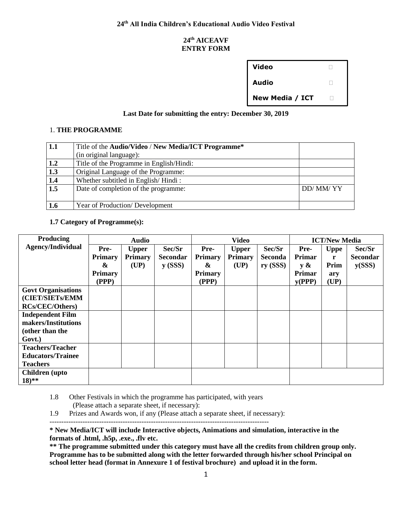### **24th AICEAVF ENTRY FORM**

| Video           |  |
|-----------------|--|
| <b>Audio</b>    |  |
| New Media / ICT |  |

## **Last Date for submitting the entry: December 30, 2019**

#### 1. **THE PROGRAMME**

| 1.1              | Title of the Audio/Video / New Media/ICT Programme* |          |
|------------------|-----------------------------------------------------|----------|
|                  | (in original language):                             |          |
| 1.2              | Title of the Programme in English/Hindi:            |          |
| 1.3              | Original Language of the Programme:                 |          |
| 1.4              | Whether subtitled in English/Hindi:                 |          |
| $\overline{1.5}$ | Date of completion of the programme:                | DD/MM/YY |
| 1.6              | Year of Production/Development                      |          |

**1.7 Category of Programme(s):** 

| Producing                 |                | <b>Audio</b>    |                    |                | <b>Video</b>    |                |        | <b>ICT/New Media</b> |                 |
|---------------------------|----------------|-----------------|--------------------|----------------|-----------------|----------------|--------|----------------------|-----------------|
| Agency/Individual         | Pre-           | <b>Upper</b>    | Sec/Sr             | Pre-           | <b>Upper</b>    | Sec/Sr         | Pre-   | <b>Uppe</b>          | Sec/Sr          |
|                           | <b>Primary</b> | <b>Primary</b>  | <b>Secondar</b>    | <b>Primary</b> | <b>Primary</b>  | <b>Seconda</b> | Primar | r                    | <b>Secondar</b> |
|                           | &              | $(\mathbf{UP})$ | $\mathbf{y}$ (SSS) | &              | $(\mathbf{UP})$ | $ry$ (SSS)     | y &    | Prim                 | y(SSS)          |
|                           | <b>Primary</b> |                 |                    | <b>Primary</b> |                 |                | Primar | ary                  |                 |
|                           | (PPP)          |                 |                    | (PPP)          |                 |                | y(PPP) | (UP)                 |                 |
| <b>Govt Organisations</b> |                |                 |                    |                |                 |                |        |                      |                 |
| (CIET/SIETs/EMM           |                |                 |                    |                |                 |                |        |                      |                 |
| <b>RCs/CEC/Others)</b>    |                |                 |                    |                |                 |                |        |                      |                 |
| <b>Independent Film</b>   |                |                 |                    |                |                 |                |        |                      |                 |
| makers/Institutions       |                |                 |                    |                |                 |                |        |                      |                 |
| (other than the           |                |                 |                    |                |                 |                |        |                      |                 |
| Govt.)                    |                |                 |                    |                |                 |                |        |                      |                 |
| <b>Teachers/Teacher</b>   |                |                 |                    |                |                 |                |        |                      |                 |
| <b>Educators/Trainee</b>  |                |                 |                    |                |                 |                |        |                      |                 |
| <b>Teachers</b>           |                |                 |                    |                |                 |                |        |                      |                 |
| <b>Children</b> (upto     |                |                 |                    |                |                 |                |        |                      |                 |
| $18)$ **                  |                |                 |                    |                |                 |                |        |                      |                 |

1.8 Other Festivals in which the programme has participated, with years (Please attach a separate sheet, if necessary):

---------------------------------------------------------------------------------------------

1.9 Prizes and Awards won, if any (Please attach a separate sheet, if necessary):

**\* New Media/ICT will include Interactive objects, Animations and simulation, interactive in the formats of .html, .h5p, .exe., .flv etc.** 

**\*\* The programme submitted under this category must have all the credits from children group only. Programme has to be submitted along with the letter forwarded through his/her school Principal on school letter head (format in Annexure 1 of festival brochure) and upload it in the form.**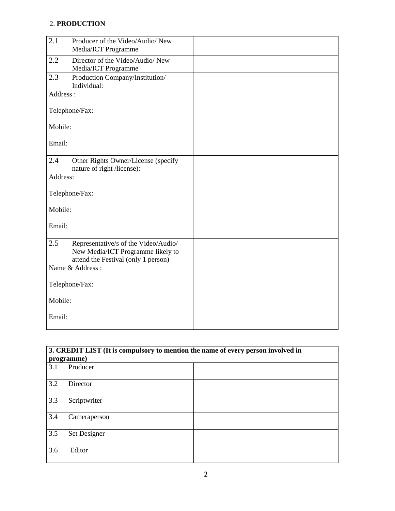# 2. **PRODUCTION**

| 2.1      | Producer of the Video/Audio/ New     |  |
|----------|--------------------------------------|--|
|          | Media/ICT Programme                  |  |
| 2.2      | Director of the Video/Audio/ New     |  |
|          |                                      |  |
|          | Media/ICT Programme                  |  |
| 2.3      | Production Company/Institution/      |  |
|          | Individual:                          |  |
| Address: |                                      |  |
|          |                                      |  |
|          |                                      |  |
|          | Telephone/Fax:                       |  |
|          |                                      |  |
| Mobile:  |                                      |  |
|          |                                      |  |
|          |                                      |  |
| Email:   |                                      |  |
|          |                                      |  |
| 2.4      | Other Rights Owner/License (specify  |  |
|          | nature of right /license):           |  |
| Address: |                                      |  |
|          |                                      |  |
|          |                                      |  |
|          | Telephone/Fax:                       |  |
|          |                                      |  |
| Mobile:  |                                      |  |
|          |                                      |  |
|          |                                      |  |
| Email:   |                                      |  |
|          |                                      |  |
| 2.5      | Representative/s of the Video/Audio/ |  |
|          | New Media/ICT Programme likely to    |  |
|          | attend the Festival (only 1 person)  |  |
|          |                                      |  |
|          | Name & Address:                      |  |
|          |                                      |  |
|          | Telephone/Fax:                       |  |
|          |                                      |  |
| Mobile:  |                                      |  |
|          |                                      |  |
|          |                                      |  |
| Email:   |                                      |  |
|          |                                      |  |

| 3. CREDIT LIST (It is compulsory to mention the name of every person involved in |              |  |  |
|----------------------------------------------------------------------------------|--------------|--|--|
|                                                                                  | programme)   |  |  |
| 3.1                                                                              | Producer     |  |  |
| 3.2                                                                              | Director     |  |  |
| 3.3                                                                              | Scriptwriter |  |  |
| 3.4                                                                              | Cameraperson |  |  |
| 3.5                                                                              | Set Designer |  |  |
| 3.6                                                                              | Editor       |  |  |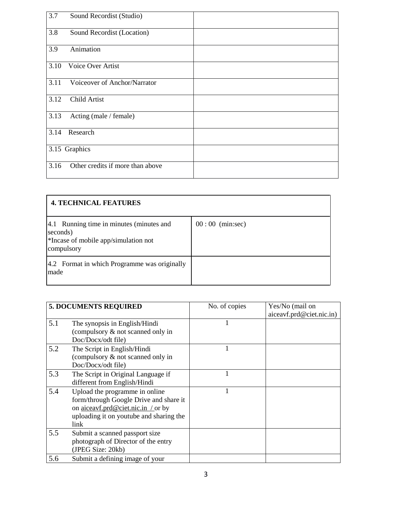| 3.7  | Sound Recordist (Studio)         |  |
|------|----------------------------------|--|
| 3.8  | Sound Recordist (Location)       |  |
| 3.9  | Animation                        |  |
| 3.10 | Voice Over Artist                |  |
| 3.11 | Voiceover of Anchor/Narrator     |  |
| 3.12 | Child Artist                     |  |
| 3.13 | Acting (male / female)           |  |
| 3.14 | Research                         |  |
|      | 3.15 Graphics                    |  |
| 3.16 | Other credits if more than above |  |

| <b>4. TECHNICAL FEATURES</b>                                                                               |                   |  |
|------------------------------------------------------------------------------------------------------------|-------------------|--|
| 4.1 Running time in minutes (minutes and<br>seconds)<br>*Incase of mobile app/simulation not<br>compulsory | $00:00$ (min:sec) |  |
| 4.2 Format in which Programme was originally<br>made                                                       |                   |  |

|     | <b>5. DOCUMENTS REQUIRED</b>                                                                                                                                      | No. of copies | Yes/No (mail on<br>aiceavf.prd@ciet.nic.in) |
|-----|-------------------------------------------------------------------------------------------------------------------------------------------------------------------|---------------|---------------------------------------------|
| 5.1 | The synopsis in English/Hindi<br>(compulsory & not scanned only in<br>Doc/Docx/odt file)                                                                          |               |                                             |
| 5.2 | The Script in English/Hindi<br>(compulsory & not scanned only in<br>Doc/Docx/odt file)                                                                            |               |                                             |
| 5.3 | The Script in Original Language if<br>different from English/Hindi                                                                                                |               |                                             |
| 5.4 | Upload the programme in online<br>form/through Google Drive and share it<br>on aiceavf.prd@ciet.nic.in / or by<br>uploading it on youtube and sharing the<br>link |               |                                             |
| 5.5 | Submit a scanned passport size<br>photograph of Director of the entry<br>(JPEG Size: 20kb)                                                                        |               |                                             |
| 5.6 | Submit a defining image of your                                                                                                                                   |               |                                             |